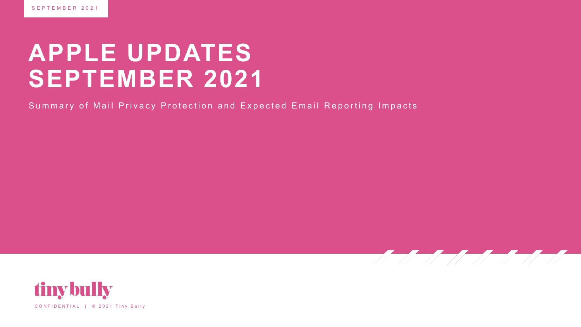### **APPLE UPDATES SEPTEMBER 2021**

Summary of Mail Privacy Protection and Expected Email Reporting Impacts



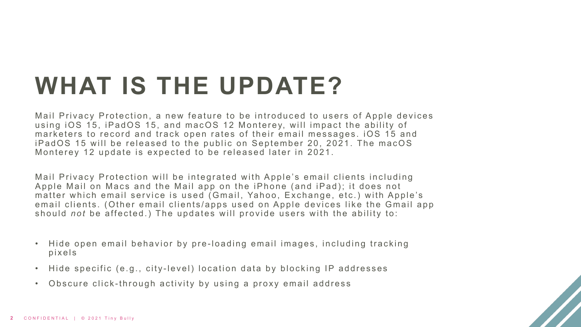# **WHAT IS THE UPDATE?**

Mail Privacy Protection, a new feature to be introduced to users of Apple devices using iOS 15, iPadOS 15, and macOS 12 Monterey, will impact the ability of marketers to record and track open rates of their email messages. iOS 15 and iPadOS 15 will be released to the public on September 20, 2021. The macOS Monterey 12 update is expected to be released later in 2021.

Mail Privacy Protection will be integrated with Apple's email clients including Apple Mail on Macs and the Mail app on the iPhone (and iPad); it does not matter which email service is used (Gmail, Yahoo, Exchange, etc.) with Apple's email clients. (Other email clients/apps used on Apple devices like the Gmail app should *not* be affected.) The updates will provide users with the ability to:

- Hide open email behavior by pre -loading email images, including tracking pixels
- Hide specific (e.g., city -level) location data by blocking IP addresses
- Obscure click -through activity by using a proxy email address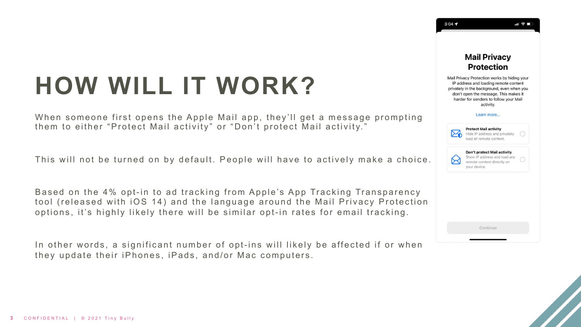# **HOW WILL IT WORK?**

When someone first opens the Apple Mail app, they'll get a message prompting them to either "Protect Mail activity" or "Don't protect Mail activity."

This will not be turned on by default. People will have to actively make a choice.

Based on the 4% opt-in to ad tracking from Apple's App Tracking Transparency tool (released with iOS 14) and the language around the Mail Privacy Protection options, it's highly likely there will be similar opt-in rates for email tracking.

In other words, a significant number of opt-ins will likely be affected if or when they update their iPhones, iPads, and/or Mac computers.



 $3:04 \rightarrow$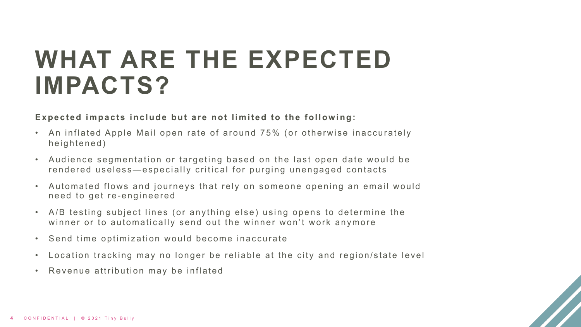### **WHAT ARE THE EXPECTED IMPACTS?**

**Expected impacts include but are not limited to the following:**

- An inflated Apple Mail open rate of around 75% (or otherwise inaccurately heightened)
- Audience segmentation or targeting based on the last open date would be rendered useless—especially critical for purging unengaged contacts
- Automated flows and journeys that rely on someone opening an email would need to get re - engineered
- A/B testing subject lines (or anything else) using opens to determine the winner or to automatically send out the winner won't work anymore
- Send time optimization would become inaccurate
- Location tracking may no longer be reliable at the city and region/state level
- Revenue attribution may be inflated

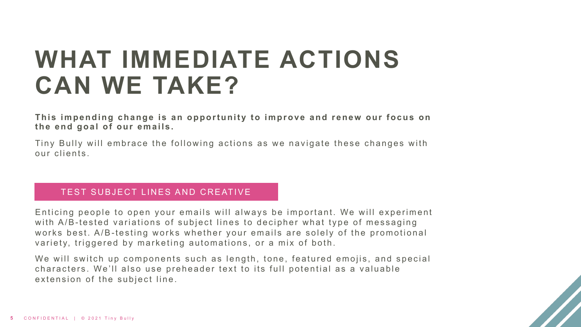## **WHAT IMMEDIATE ACTIONS CAN WE TAKE?**

**This impending change is an opportunity to improve and renew our focus on the end goal of our emails.**

Tiny Bully will embrace the following actions as we navigate these changes with our clients.

#### TEST SUBJECT LINES AND CREATIVE

Enticing people to open your emails will always be important. We will experiment with A/B-tested variations of subject lines to decipher what type of messaging works best. A/B-testing works whether your emails are solely of the promotional variety, triggered by marketing automations, or a mix of both.

We will switch up components such as length, tone, featured emojis, and special characters. We'll also use preheader text to its full potential as a valuable extension of the subject line.

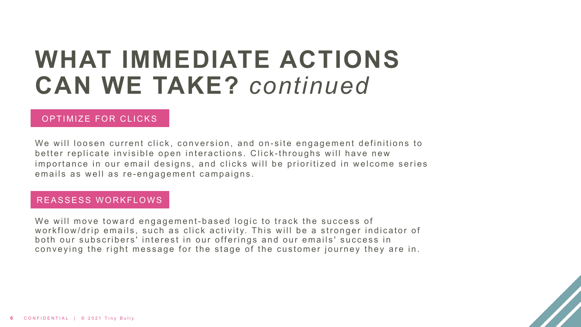### **WHAT IMMEDIATE ACTIONS CAN WE TAKE?** *continued*

#### OPTIMIZE FOR CLICKS

We will loosen current click, conversion, and on-site engagement definitions to better replicate invisible open interactions. Click -throughs will have new importance in our email designs, and clicks will be prioritized in welcome series emails as well as re-engagement campaigns.

#### REASSESS WORKFLOWS

We will move toward engagement-based logic to track the success of workflow/drip emails, such as click activity. This will be a stronger indicator of both our subscribers' interest in our offerings and our emails' success in conveying the right message for the stage of the customer journey they are in.

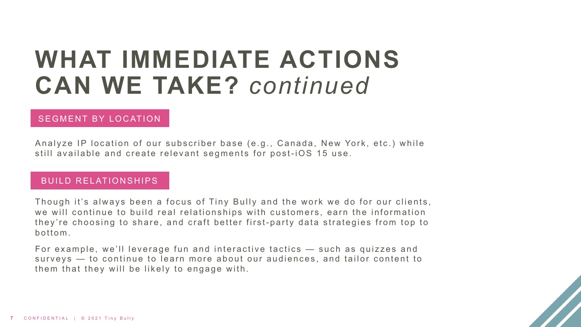### **WHAT IMMEDIATE ACTIONS CAN WE TAKE?** *continued*

#### SEGMENT BY LOCATION

Analyze IP location of our subscriber base (e.g., Canada, New York, etc.) while still available and create relevant segments for post-iOS 15 use.

#### BUILD RELATIONSHIPS

Though it's always been a focus of Tiny Bully and the work we do for our clients, we will continue to build real relationships with customers, earn the information they're choosing to share, and craft better first- party data strategies from top to bottom.

For example, we'll leverage fun and interactive tactics — such as quizzes and surveys — to continue to learn more about our audiences, and tailor content to them that they will be likely to engage with.

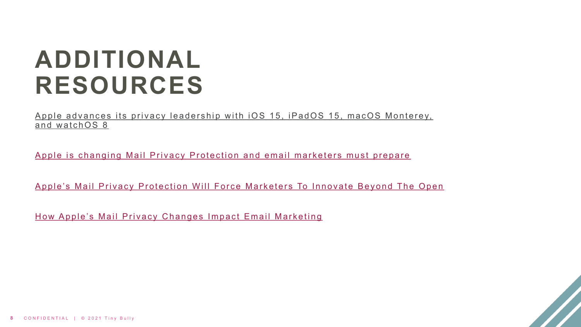## **[ADDITIONAL](https://blogs.constantcontact.com/apple-mail-privacy-protection-for-email-marketing/) RESOURCES**

Apple advances its privacy leadership with iOS 15, iPadOS 15, macO and watchOS 8

Apple is changing Mail Privacy Protection and email marketers must

Apple's Mail Privacy Protection Will Force Marketers To Innovate Be

How Apple's Mail Privacy Changes Impact Email Marketing